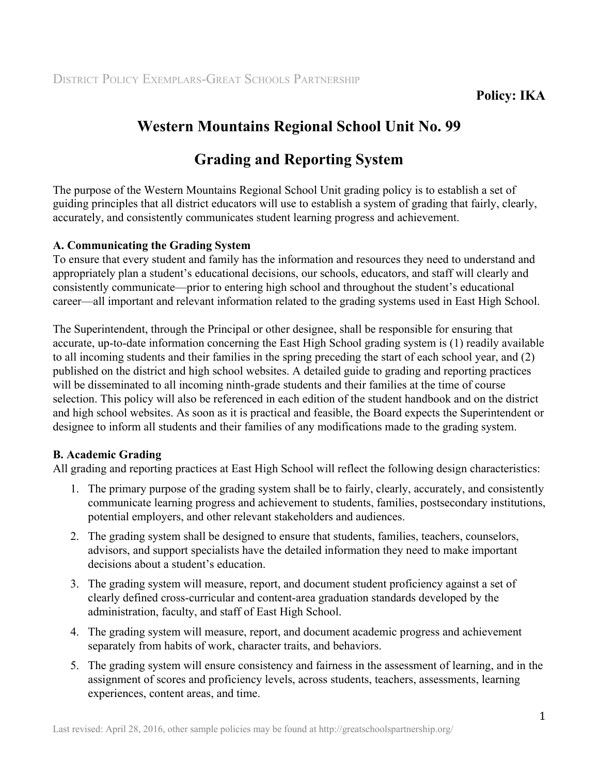# **Western Mountains Regional School Unit No. 99**

# **Grading and Reporting System**

The purpose of the Western Mountains Regional School Unit grading policy is to establish a set of guiding principles that all district educators will use to establish a system of grading that fairly, clearly, accurately, and consistently communicates student learning progress and achievement.

## **A. Communicating the Grading System**

To ensure that every student and family has the information and resources they need to understand and appropriately plan a student's educational decisions, our schools, educators, and staff will clearly and consistently communicate—prior to entering high school and throughout the student's educational career—all important and relevant information related to the grading systems used in East High School.

The Superintendent, through the Principal or other designee, shall be responsible for ensuring that accurate, up-to-date information concerning the East High School grading system is (1) readily available to all incoming students and their families in the spring preceding the start of each school year, and (2) published on the district and high school websites. A detailed guide to grading and reporting practices will be disseminated to all incoming ninth-grade students and their families at the time of course selection. This policy will also be referenced in each edition of the student handbook and on the district and high school websites. As soon as it is practical and feasible, the Board expects the Superintendent or designee to inform all students and their families of any modifications made to the grading system.

## **B. Academic Grading**

All grading and reporting practices at East High School will reflect the following design characteristics:

- 1. The primary purpose of the grading system shall be to fairly, clearly, accurately, and consistently communicate learning progress and achievement to students, families, postsecondary institutions, potential employers, and other relevant stakeholders and audiences.
- 2. The grading system shall be designed to ensure that students, families, teachers, counselors, advisors, and support specialists have the detailed information they need to make important decisions about a student's education.
- 3. The grading system will measure, report, and document student proficiency against a set of clearly defined cross-curricular and content-area graduation standards developed by the administration, faculty, and staff of East High School.
- 4. The grading system will measure, report, and document academic progress and achievement separately from habits of work, character traits, and behaviors.
- 5. The grading system will ensure consistency and fairness in the assessment of learning, and in the assignment of scores and proficiency levels, across students, teachers, assessments, learning experiences, content areas, and time.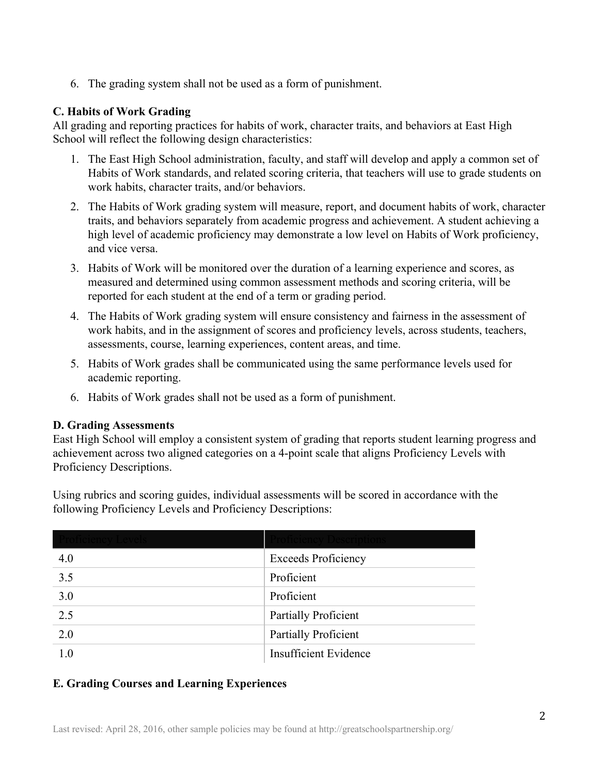6. The grading system shall not be used as a form of punishment.

## **C. Habits of Work Grading**

All grading and reporting practices for habits of work, character traits, and behaviors at East High School will reflect the following design characteristics:

- 1. The East High School administration, faculty, and staff will develop and apply a common set of Habits of Work standards, and related scoring criteria, that teachers will use to grade students on work habits, character traits, and/or behaviors.
- 2. The Habits of Work grading system will measure, report, and document habits of work, character traits, and behaviors separately from academic progress and achievement. A student achieving a high level of academic proficiency may demonstrate a low level on Habits of Work proficiency, and vice versa.
- 3. Habits of Work will be monitored over the duration of a learning experience and scores, as measured and determined using common assessment methods and scoring criteria, will be reported for each student at the end of a term or grading period.
- 4. The Habits of Work grading system will ensure consistency and fairness in the assessment of work habits, and in the assignment of scores and proficiency levels, across students, teachers, assessments, course, learning experiences, content areas, and time.
- 5. Habits of Work grades shall be communicated using the same performance levels used for academic reporting.
- 6. Habits of Work grades shall not be used as a form of punishment.

## **D. Grading Assessments**

East High School will employ a consistent system of grading that reports student learning progress and achievement across two aligned categories on a 4-point scale that aligns Proficiency Levels with Proficiency Descriptions.

Using rubrics and scoring guides, individual assessments will be scored in accordance with the following Proficiency Levels and Proficiency Descriptions:

| 4.0              | <b>Exceeds Proficiency</b>   |
|------------------|------------------------------|
| 3.5              | Proficient                   |
| 3.0              | Proficient                   |
| $\overline{2.5}$ | Partially Proficient         |
| 2.0              | Partially Proficient         |
| 1.0              | <b>Insufficient Evidence</b> |

## **E. Grading Courses and Learning Experiences**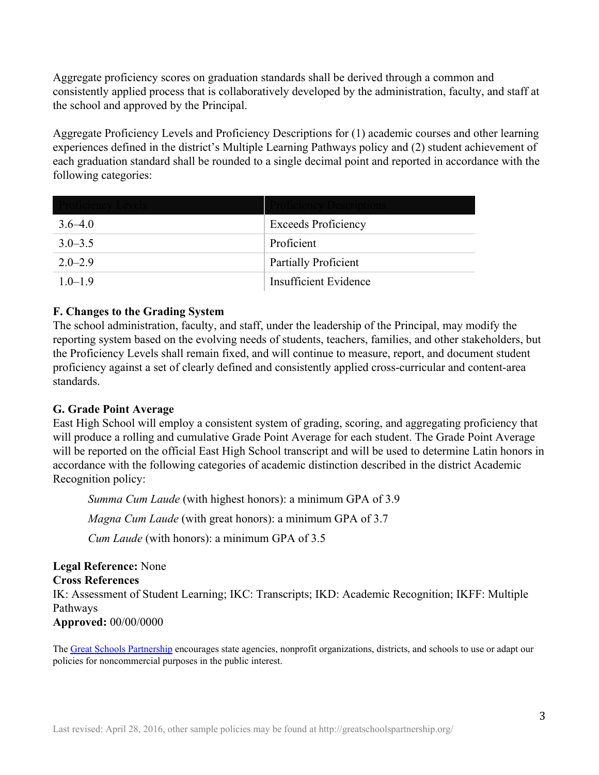Aggregate proficiency scores on graduation standards shall be derived through a common and consistently applied process that is collaboratively developed by the administration, faculty, and staff at the school and approved by the Principal.

Aggregate Proficiency Levels and Proficiency Descriptions for (1) academic courses and other learning experiences defined in the district's Multiple Learning Pathways policy and (2) student achievement of each graduation standard shall be rounded to a single decimal point and reported in accordance with the following categories:

| $3.6 - 4.0$ | <b>Exceeds Proficiency</b>  |
|-------------|-----------------------------|
| $3.0 - 3.5$ | Proficient                  |
| $2.0 - 2.9$ | <b>Partially Proficient</b> |
| $1.0 - 1.9$ | Insufficient Evidence       |

## **F. Changes to the Grading System**

The school administration, faculty, and staff, under the leadership of the Principal, may modify the reporting system based on the evolving needs of students, teachers, families, and other stakeholders, but the Proficiency Levels shall remain fixed, and will continue to measure, report, and document student proficiency against a set of clearly defined and consistently applied cross-curricular and content-area standards.

## **G. Grade Point Average**

East High School will employ a consistent system of grading, scoring, and aggregating proficiency that will produce a rolling and cumulative Grade Point Average for each student. The Grade Point Average will be reported on the official East High School transcript and will be used to determine Latin honors in accordance with the following categories of academic distinction described in the district Academic Recognition policy:

*Summa Cum Laude* (with highest honors): a minimum GPA of 3.9

*Magna Cum Laude* (with great honors): a minimum GPA of 3.7

*Cum Laude* (with honors): a minimum GPA of 3.5

**Legal Reference:** None **Cross References** IK: Assessment of Student Learning; IKC: Transcripts; IKD: Academic Recognition; IKFF: Multiple Pathways

**Approved:** 00/00/0000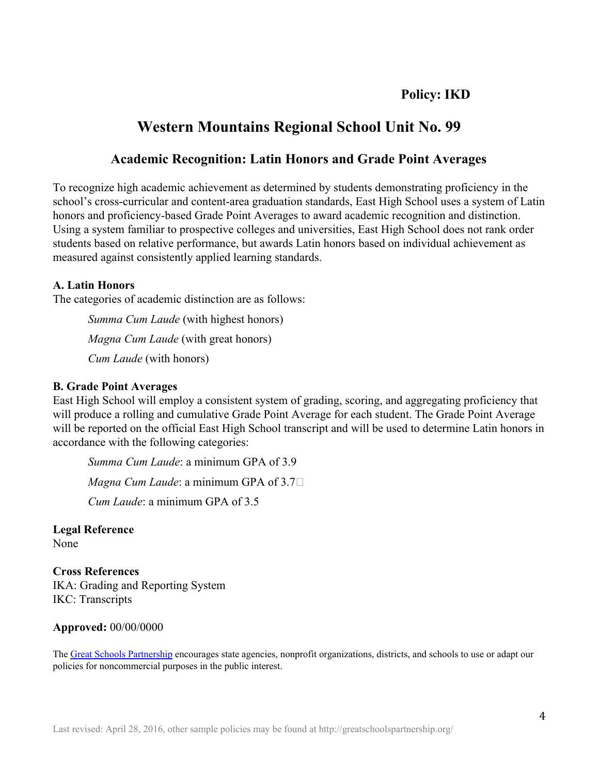## **Policy: IKD**

# **Western Mountains Regional School Unit No. 99**

## **Academic Recognition: Latin Honors and Grade Point Averages**

To recognize high academic achievement as determined by students demonstrating proficiency in the school's cross-curricular and content-area graduation standards, East High School uses a system of Latin honors and proficiency-based Grade Point Averages to award academic recognition and distinction. Using a system familiar to prospective colleges and universities, East High School does not rank order students based on relative performance, but awards Latin honors based on individual achievement as measured against consistently applied learning standards.

#### **A. Latin Honors**

The categories of academic distinction are as follows:

*Summa Cum Laude* (with highest honors) *Magna Cum Laude* (with great honors) *Cum Laude* (with honors)

#### **B. Grade Point Averages**

East High School will employ a consistent system of grading, scoring, and aggregating proficiency that will produce a rolling and cumulative Grade Point Average for each student. The Grade Point Average will be reported on the official East High School transcript and will be used to determine Latin honors in accordance with the following categories:

*Summa Cum Laude*: a minimum GPA of 3.9 *Magna Cum Laude*: a minimum GPA of 3.7 *Cum Laude*: a minimum GPA of 3.5

**Legal Reference** None

**Cross References** IKA: Grading and Reporting System IKC: Transcripts

#### **Approved:** 00/00/0000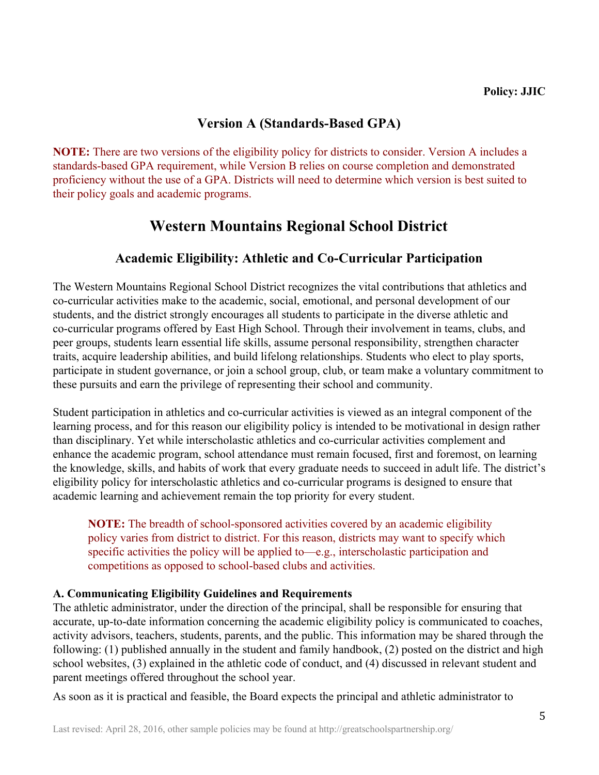## **Version A (Standards-Based GPA)**

**NOTE:** There are two versions of the eligibility policy for districts to consider. Version A includes a standards-based GPA requirement, while Version B relies on course completion and demonstrated proficiency without the use of a GPA. Districts will need to determine which version is best suited to their policy goals and academic programs.

# **Western Mountains Regional School District**

## **Academic Eligibility: Athletic and Co-Curricular Participation**

The Western Mountains Regional School District recognizes the vital contributions that athletics and co-curricular activities make to the academic, social, emotional, and personal development of our students, and the district strongly encourages all students to participate in the diverse athletic and co-curricular programs offered by East High School. Through their involvement in teams, clubs, and peer groups, students learn essential life skills, assume personal responsibility, strengthen character traits, acquire leadership abilities, and build lifelong relationships. Students who elect to play sports, participate in student governance, or join a school group, club, or team make a voluntary commitment to these pursuits and earn the privilege of representing their school and community.

Student participation in athletics and co-curricular activities is viewed as an integral component of the learning process, and for this reason our eligibility policy is intended to be motivational in design rather than disciplinary. Yet while interscholastic athletics and co-curricular activities complement and enhance the academic program, school attendance must remain focused, first and foremost, on learning the knowledge, skills, and habits of work that every graduate needs to succeed in adult life. The district's eligibility policy for interscholastic athletics and co-curricular programs is designed to ensure that academic learning and achievement remain the top priority for every student.

**NOTE:** The breadth of school-sponsored activities covered by an academic eligibility policy varies from district to district. For this reason, districts may want to specify which specific activities the policy will be applied to—e.g., interscholastic participation and competitions as opposed to school-based clubs and activities.

## **A. Communicating Eligibility Guidelines and Requirements**

The athletic administrator, under the direction of the principal, shall be responsible for ensuring that accurate, up-to-date information concerning the academic eligibility policy is communicated to coaches, activity advisors, teachers, students, parents, and the public. This information may be shared through the following: (1) published annually in the student and family handbook, (2) posted on the district and high school websites, (3) explained in the athletic code of conduct, and (4) discussed in relevant student and parent meetings offered throughout the school year.

As soon as it is practical and feasible, the Board expects the principal and athletic administrator to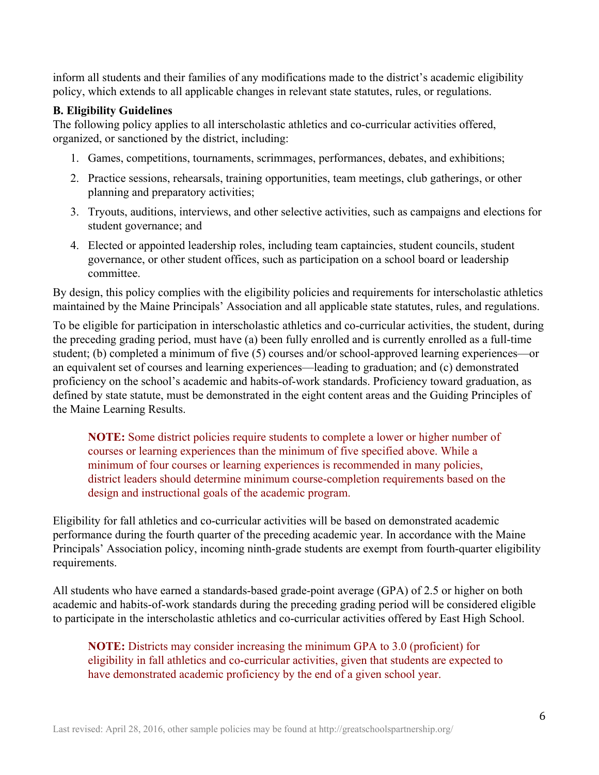inform all students and their families of any modifications made to the district's academic eligibility policy, which extends to all applicable changes in relevant state statutes, rules, or regulations.

## **B. Eligibility Guidelines**

The following policy applies to all interscholastic athletics and co-curricular activities offered, organized, or sanctioned by the district, including:

- 1. Games, competitions, tournaments, scrimmages, performances, debates, and exhibitions;
- 2. Practice sessions, rehearsals, training opportunities, team meetings, club gatherings, or other planning and preparatory activities;
- 3. Tryouts, auditions, interviews, and other selective activities, such as campaigns and elections for student governance; and
- 4. Elected or appointed leadership roles, including team captaincies, student councils, student governance, or other student offices, such as participation on a school board or leadership committee.

By design, this policy complies with the eligibility policies and requirements for interscholastic athletics maintained by the Maine Principals' Association and all applicable state statutes, rules, and regulations.

To be eligible for participation in interscholastic athletics and co-curricular activities, the student, during the preceding grading period, must have (a) been fully enrolled and is currently enrolled as a full-time student; (b) completed a minimum of five (5) courses and/or school-approved learning experiences—or an equivalent set of courses and learning experiences—leading to graduation; and (c) demonstrated proficiency on the school's academic and habits-of-work standards. Proficiency toward graduation, as defined by state statute, must be demonstrated in the eight content areas and the Guiding Principles of the Maine Learning Results.

**NOTE:** Some district policies require students to complete a lower or higher number of courses or learning experiences than the minimum of five specified above. While a minimum of four courses or learning experiences is recommended in many policies, district leaders should determine minimum course-completion requirements based on the design and instructional goals of the academic program.

Eligibility for fall athletics and co-curricular activities will be based on demonstrated academic performance during the fourth quarter of the preceding academic year. In accordance with the Maine Principals' Association policy, incoming ninth-grade students are exempt from fourth-quarter eligibility requirements.

All students who have earned a standards-based grade-point average (GPA) of 2.5 or higher on both academic and habits-of-work standards during the preceding grading period will be considered eligible to participate in the interscholastic athletics and co-curricular activities offered by East High School.

**NOTE:** Districts may consider increasing the minimum GPA to 3.0 (proficient) for eligibility in fall athletics and co-curricular activities, given that students are expected to have demonstrated academic proficiency by the end of a given school year.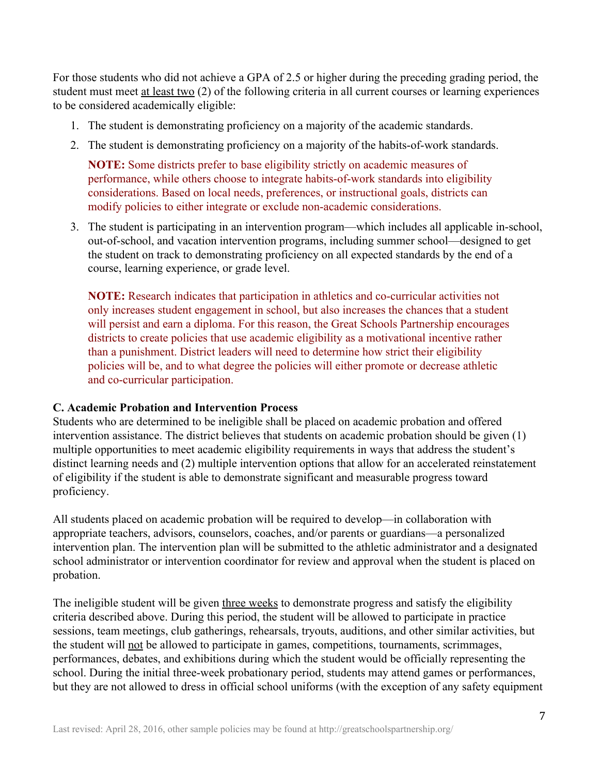For those students who did not achieve a GPA of 2.5 or higher during the preceding grading period, the student must meet <u>at least two</u> (2) of the following criteria in all current courses or learning experiences to be considered academically eligible:

- 1. The student is demonstrating proficiency on a majority of the academic standards.
- 2. The student is demonstrating proficiency on a majority of the habits-of-work standards.

**NOTE:** Some districts prefer to base eligibility strictly on academic measures of performance, while others choose to integrate habits-of-work standards into eligibility considerations. Based on local needs, preferences, or instructional goals, districts can modify policies to either integrate or exclude non-academic considerations.

3. The student is participating in an intervention program—which includes all applicable in-school, out-of-school, and vacation intervention programs, including summer school—designed to get the student on track to demonstrating proficiency on all expected standards by the end of a course, learning experience, or grade level.

**NOTE:** Research indicates that participation in athletics and co-curricular activities not only increases student engagement in school, but also increases the chances that a student will persist and earn a diploma. For this reason, the Great Schools Partnership encourages districts to create policies that use academic eligibility as a motivational incentive rather than a punishment. District leaders will need to determine how strict their eligibility policies will be, and to what degree the policies will either promote or decrease athletic and co-curricular participation.

#### **C. Academic Probation and Intervention Process**

Students who are determined to be ineligible shall be placed on academic probation and offered intervention assistance. The district believes that students on academic probation should be given (1) multiple opportunities to meet academic eligibility requirements in ways that address the student's distinct learning needs and (2) multiple intervention options that allow for an accelerated reinstatement of eligibility if the student is able to demonstrate significant and measurable progress toward proficiency.

All students placed on academic probation will be required to develop—in collaboration with appropriate teachers, advisors, counselors, coaches, and/or parents or guardians—a personalized intervention plan. The intervention plan will be submitted to the athletic administrator and a designated school administrator or intervention coordinator for review and approval when the student is placed on probation.

The ineligible student will be given three weeks to demonstrate progress and satisfy the eligibility criteria described above. During this period, the student will be allowed to participate in practice sessions, team meetings, club gatherings, rehearsals, tryouts, auditions, and other similar activities, but the student will not be allowed to participate in games, competitions, tournaments, scrimmages, performances, debates, and exhibitions during which the student would be officially representing the school. During the initial three-week probationary period, students may attend games or performances, but they are not allowed to dress in official school uniforms (with the exception of any safety equipment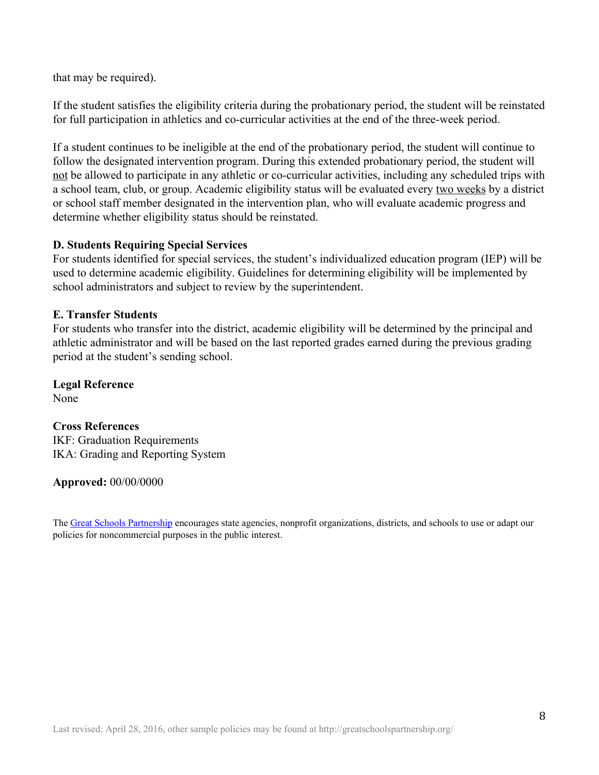that may be required).

If the student satisfies the eligibility criteria during the probationary period, the student will be reinstated for full participation in athletics and co-curricular activities at the end of the three-week period.

If a student continues to be ineligible at the end of the probationary period, the student will continue to follow the designated intervention program. During this extended probationary period, the student will not be allowed to participate in any athletic or co-curricular activities, including any scheduled trips with a school team, club, or group. Academic eligibility status will be evaluated every two weeks by a district or school staff member designated in the intervention plan, who will evaluate academic progress and determine whether eligibility status should be reinstated.

#### **D. Students Requiring Special Services**

For students identified for special services, the student's individualized education program (IEP) will be used to determine academic eligibility. Guidelines for determining eligibility will be implemented by school administrators and subject to review by the superintendent.

#### **E. Transfer Students**

For students who transfer into the district, academic eligibility will be determined by the principal and athletic administrator and will be based on the last reported grades earned during the previous grading period at the student's sending school.

**Legal Reference** None

## **Cross References** IKF: Graduation Requirements IKA: Grading and Reporting System

**Approved:** 00/00/0000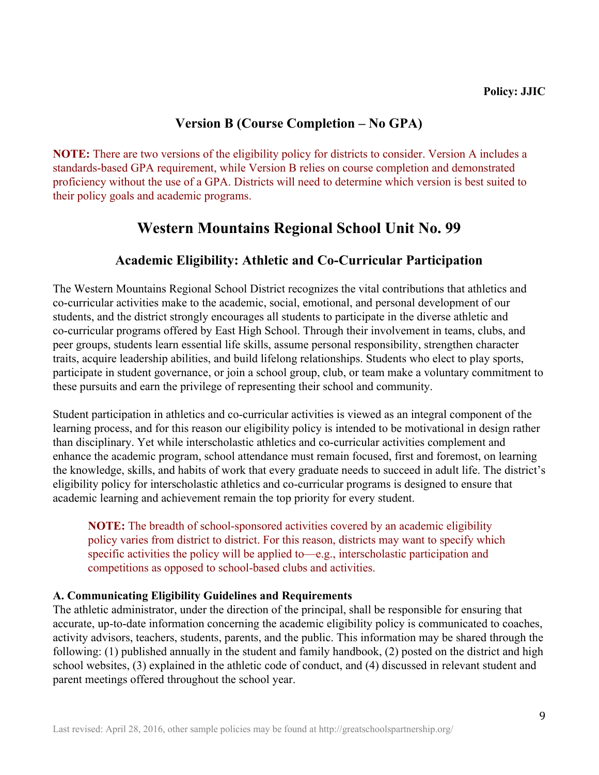## **Version B (Course Completion – No GPA)**

**NOTE:** There are two versions of the eligibility policy for districts to consider. Version A includes a standards-based GPA requirement, while Version B relies on course completion and demonstrated proficiency without the use of a GPA. Districts will need to determine which version is best suited to their policy goals and academic programs.

# **Western Mountains Regional School Unit No. 99**

## **Academic Eligibility: Athletic and Co-Curricular Participation**

The Western Mountains Regional School District recognizes the vital contributions that athletics and co-curricular activities make to the academic, social, emotional, and personal development of our students, and the district strongly encourages all students to participate in the diverse athletic and co-curricular programs offered by East High School. Through their involvement in teams, clubs, and peer groups, students learn essential life skills, assume personal responsibility, strengthen character traits, acquire leadership abilities, and build lifelong relationships. Students who elect to play sports, participate in student governance, or join a school group, club, or team make a voluntary commitment to these pursuits and earn the privilege of representing their school and community.

Student participation in athletics and co-curricular activities is viewed as an integral component of the learning process, and for this reason our eligibility policy is intended to be motivational in design rather than disciplinary. Yet while interscholastic athletics and co-curricular activities complement and enhance the academic program, school attendance must remain focused, first and foremost, on learning the knowledge, skills, and habits of work that every graduate needs to succeed in adult life. The district's eligibility policy for interscholastic athletics and co-curricular programs is designed to ensure that academic learning and achievement remain the top priority for every student.

**NOTE:** The breadth of school-sponsored activities covered by an academic eligibility policy varies from district to district. For this reason, districts may want to specify which specific activities the policy will be applied to—e.g., interscholastic participation and competitions as opposed to school-based clubs and activities.

## **A. Communicating Eligibility Guidelines and Requirements**

The athletic administrator, under the direction of the principal, shall be responsible for ensuring that accurate, up-to-date information concerning the academic eligibility policy is communicated to coaches, activity advisors, teachers, students, parents, and the public. This information may be shared through the following: (1) published annually in the student and family handbook, (2) posted on the district and high school websites, (3) explained in the athletic code of conduct, and (4) discussed in relevant student and parent meetings offered throughout the school year.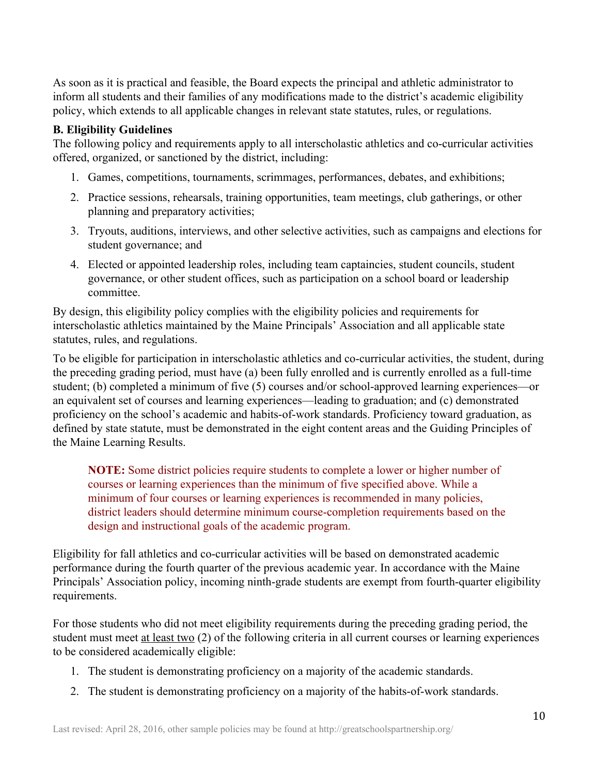As soon as it is practical and feasible, the Board expects the principal and athletic administrator to inform all students and their families of any modifications made to the district's academic eligibility policy, which extends to all applicable changes in relevant state statutes, rules, or regulations.

## **B. Eligibility Guidelines**

The following policy and requirements apply to all interscholastic athletics and co-curricular activities offered, organized, or sanctioned by the district, including:

- 1. Games, competitions, tournaments, scrimmages, performances, debates, and exhibitions;
- 2. Practice sessions, rehearsals, training opportunities, team meetings, club gatherings, or other planning and preparatory activities;
- 3. Tryouts, auditions, interviews, and other selective activities, such as campaigns and elections for student governance; and
- 4. Elected or appointed leadership roles, including team captaincies, student councils, student governance, or other student offices, such as participation on a school board or leadership committee.

By design, this eligibility policy complies with the eligibility policies and requirements for interscholastic athletics maintained by the Maine Principals' Association and all applicable state statutes, rules, and regulations.

To be eligible for participation in interscholastic athletics and co-curricular activities, the student, during the preceding grading period, must have (a) been fully enrolled and is currently enrolled as a full-time student; (b) completed a minimum of five (5) courses and/or school-approved learning experiences—or an equivalent set of courses and learning experiences—leading to graduation; and (c) demonstrated proficiency on the school's academic and habits-of-work standards. Proficiency toward graduation, as defined by state statute, must be demonstrated in the eight content areas and the Guiding Principles of the Maine Learning Results.

**NOTE:** Some district policies require students to complete a lower or higher number of courses or learning experiences than the minimum of five specified above. While a minimum of four courses or learning experiences is recommended in many policies, district leaders should determine minimum course-completion requirements based on the design and instructional goals of the academic program.

Eligibility for fall athletics and co-curricular activities will be based on demonstrated academic performance during the fourth quarter of the previous academic year. In accordance with the Maine Principals' Association policy, incoming ninth-grade students are exempt from fourth-quarter eligibility requirements.

For those students who did not meet eligibility requirements during the preceding grading period, the student must meet at least two (2) of the following criteria in all current courses or learning experiences to be considered academically eligible:

- 1. The student is demonstrating proficiency on a majority of the academic standards.
- 2. The student is demonstrating proficiency on a majority of the habits-of-work standards.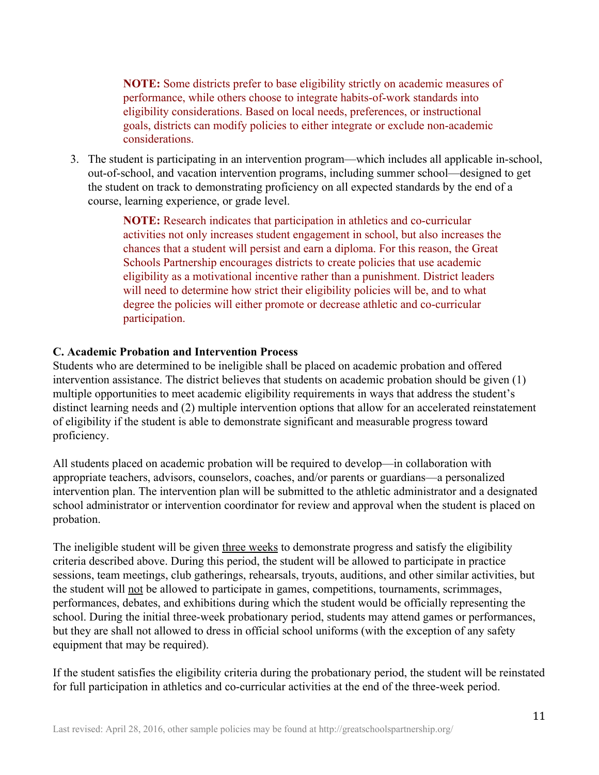**NOTE:** Some districts prefer to base eligibility strictly on academic measures of performance, while others choose to integrate habits-of-work standards into eligibility considerations. Based on local needs, preferences, or instructional goals, districts can modify policies to either integrate or exclude non-academic considerations.

3. The student is participating in an intervention program—which includes all applicable in-school, out-of-school, and vacation intervention programs, including summer school—designed to get the student on track to demonstrating proficiency on all expected standards by the end of a course, learning experience, or grade level.

> **NOTE:** Research indicates that participation in athletics and co-curricular activities not only increases student engagement in school, but also increases the chances that a student will persist and earn a diploma. For this reason, the Great Schools Partnership encourages districts to create policies that use academic eligibility as a motivational incentive rather than a punishment. District leaders will need to determine how strict their eligibility policies will be, and to what degree the policies will either promote or decrease athletic and co-curricular participation.

#### **C. Academic Probation and Intervention Process**

Students who are determined to be ineligible shall be placed on academic probation and offered intervention assistance. The district believes that students on academic probation should be given (1) multiple opportunities to meet academic eligibility requirements in ways that address the student's distinct learning needs and (2) multiple intervention options that allow for an accelerated reinstatement of eligibility if the student is able to demonstrate significant and measurable progress toward proficiency.

All students placed on academic probation will be required to develop—in collaboration with appropriate teachers, advisors, counselors, coaches, and/or parents or guardians—a personalized intervention plan. The intervention plan will be submitted to the athletic administrator and a designated school administrator or intervention coordinator for review and approval when the student is placed on probation.

The ineligible student will be given three weeks to demonstrate progress and satisfy the eligibility criteria described above. During this period, the student will be allowed to participate in practice sessions, team meetings, club gatherings, rehearsals, tryouts, auditions, and other similar activities, but the student will not be allowed to participate in games, competitions, tournaments, scrimmages, performances, debates, and exhibitions during which the student would be officially representing the school. During the initial three-week probationary period, students may attend games or performances, but they are shall not allowed to dress in official school uniforms (with the exception of any safety equipment that may be required).

If the student satisfies the eligibility criteria during the probationary period, the student will be reinstated for full participation in athletics and co-curricular activities at the end of the three-week period.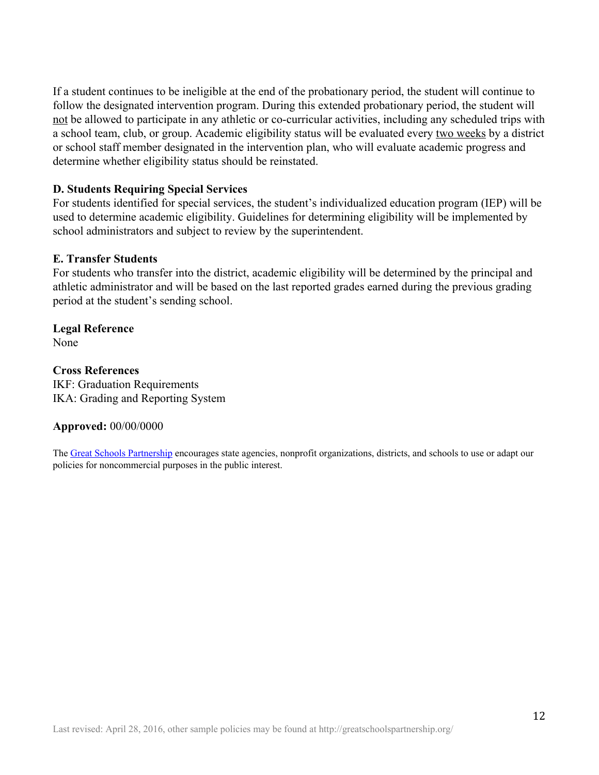If a student continues to be ineligible at the end of the probationary period, the student will continue to follow the designated intervention program. During this extended probationary period, the student will not be allowed to participate in any athletic or co-curricular activities, including any scheduled trips with a school team, club, or group. Academic eligibility status will be evaluated every two weeks by a district or school staff member designated in the intervention plan, who will evaluate academic progress and determine whether eligibility status should be reinstated.

#### **D. Students Requiring Special Services**

For students identified for special services, the student's individualized education program (IEP) will be used to determine academic eligibility. Guidelines for determining eligibility will be implemented by school administrators and subject to review by the superintendent.

#### **E. Transfer Students**

For students who transfer into the district, academic eligibility will be determined by the principal and athletic administrator and will be based on the last reported grades earned during the previous grading period at the student's sending school.

**Legal Reference** None

#### **Cross References**

IKF: Graduation Requirements IKA: Grading and Reporting System

#### **Approved:** 00/00/0000